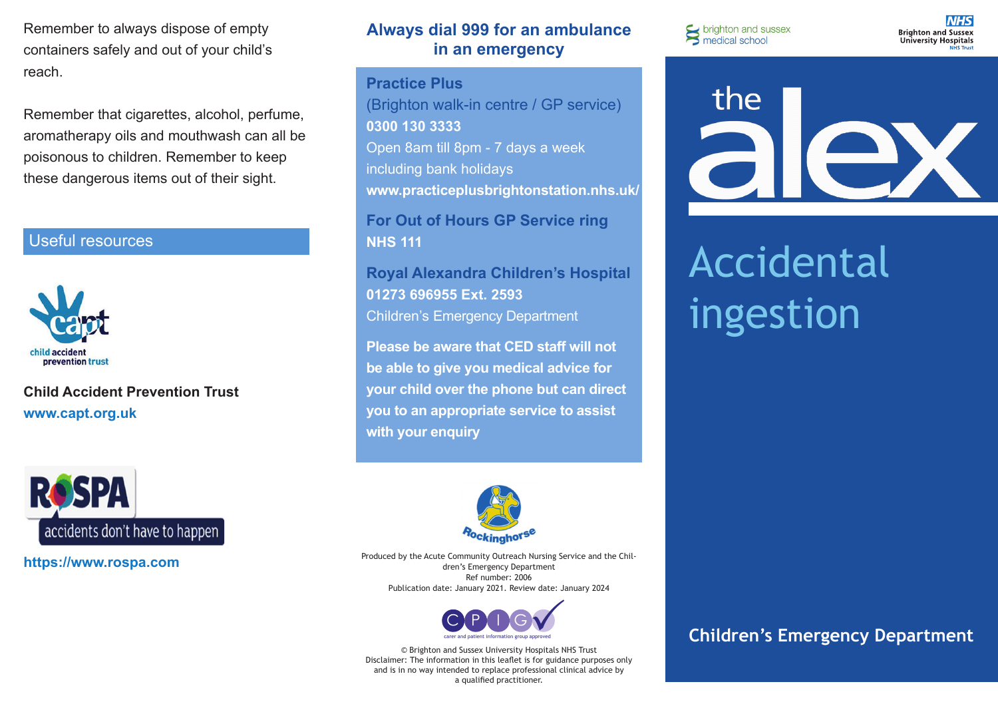Remember to always dispose of empty containers safely and out of your child's reach.

Remember that cigarettes, alcohol, perfume, aromatherapy oils and mouthwash can all be poisonous to children. Remember to keep these dangerous items out of their sight.

### Useful resources



**Child Accident Prevention Trust www.capt.org.uk**



**https://www.rospa.com**

## **Always dial 999 for an ambulance in an emergency**

**Practice Plus**  (Brighton walk-in centre / GP service) **0300 130 3333**  Open 8am till 8pm - 7 days a week including bank holidays **www.practiceplusbrightonstation.nhs.uk/**

**For Out of Hours GP Service ring NHS 111**

**Royal Alexandra Children's Hospital 01273 696955 Ext. 2593** Children's Emergency Department

**Please be aware that CED staff will not be able to give you medical advice for your child over the phone but can direct you to an appropriate service to assist with your enquiry** 



Produced by the Acute Community Outreach Nursing Service and the Children's Emergency Department Ref number: 2006 Publication date: January 2021. Review date: January 2024



© Brighton and Sussex University Hospitals NHS Trust Disclaimer: The information in this leaflet is for guidance purposes only and is in no way intended to replace professional clinical advice by a qualified practitioner.

S brighton and sussex<br>
medical school

**NHS Brighton and Sussex University Hospitals** 



# Accidental ingestion

# **Children's Emergency Department**